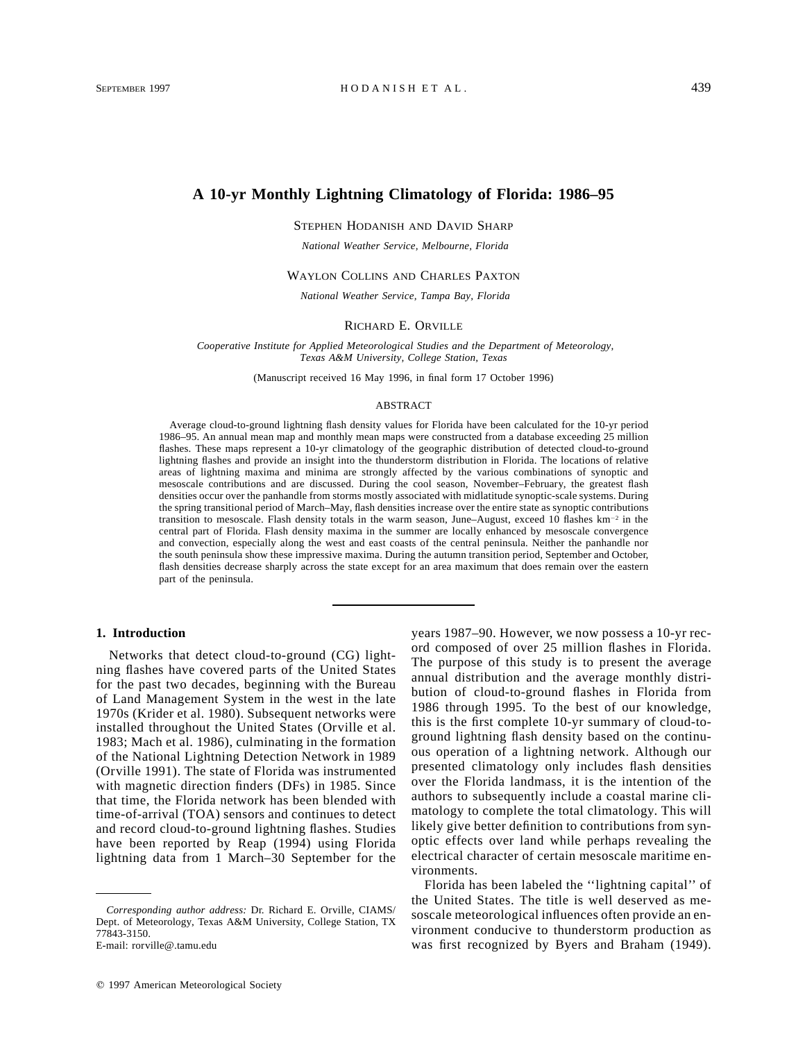# **A 10-yr Monthly Lightning Climatology of Florida: 1986–95**

STEPHEN HODANISH AND DAVID SHARP

*National Weather Service, Melbourne, Florida*

#### WAYLON COLLINS AND CHARLES PAXTON

*National Weather Service, Tampa Bay, Florida*

### RICHARD E. ORVILLE

*Cooperative Institute for Applied Meteorological Studies and the Department of Meteorology, Texas A&M University, College Station, Texas*

(Manuscript received 16 May 1996, in final form 17 October 1996)

#### ABSTRACT

Average cloud-to-ground lightning flash density values for Florida have been calculated for the 10-yr period 1986–95. An annual mean map and monthly mean maps were constructed from a database exceeding 25 million flashes. These maps represent a 10-yr climatology of the geographic distribution of detected cloud-to-ground lightning flashes and provide an insight into the thunderstorm distribution in Florida. The locations of relative areas of lightning maxima and minima are strongly affected by the various combinations of synoptic and mesoscale contributions and are discussed. During the cool season, November–February, the greatest flash densities occur over the panhandle from storms mostly associated with midlatitude synoptic-scale systems. During the spring transitional period of March–May, flash densities increase over the entire state as synoptic contributions transition to mesoscale. Flash density totals in the warm season, June–August, exceed 10 flashes km<sup>-2</sup> in the central part of Florida. Flash density maxima in the summer are locally enhanced by mesoscale convergence and convection, especially along the west and east coasts of the central peninsula. Neither the panhandle nor the south peninsula show these impressive maxima. During the autumn transition period, September and October, flash densities decrease sharply across the state except for an area maximum that does remain over the eastern part of the peninsula.

### **1. Introduction**

Networks that detect cloud-to-ground (CG) lightning flashes have covered parts of the United States for the past two decades, beginning with the Bureau of Land Management System in the west in the late 1970s (Krider et al. 1980). Subsequent networks were installed throughout the United States (Orville et al. 1983; Mach et al. 1986), culminating in the formation of the National Lightning Detection Network in 1989 (Orville 1991). The state of Florida was instrumented with magnetic direction finders (DFs) in 1985. Since that time, the Florida network has been blended with time-of-arrival (TOA) sensors and continues to detect and record cloud-to-ground lightning flashes. Studies have been reported by Reap (1994) using Florida lightning data from 1 March–30 September for the

E-mail: rorville@.tamu.edu

years 1987–90. However, we now possess a 10-yr record composed of over 25 million flashes in Florida. The purpose of this study is to present the average annual distribution and the average monthly distribution of cloud-to-ground flashes in Florida from 1986 through 1995. To the best of our knowledge, this is the first complete 10-yr summary of cloud-toground lightning flash density based on the continuous operation of a lightning network. Although our presented climatology only includes flash densities over the Florida landmass, it is the intention of the authors to subsequently include a coastal marine climatology to complete the total climatology. This will likely give better definition to contributions from synoptic effects over land while perhaps revealing the electrical character of certain mesoscale maritime environments.

Florida has been labeled the ''lightning capital'' of the United States. The title is well deserved as mesoscale meteorological influences often provide an environment conducive to thunderstorm production as was first recognized by Byers and Braham (1949).

*Corresponding author address:* Dr. Richard E. Orville, CIAMS/ Dept. of Meteorology, Texas A&M University, College Station, TX 77843-3150.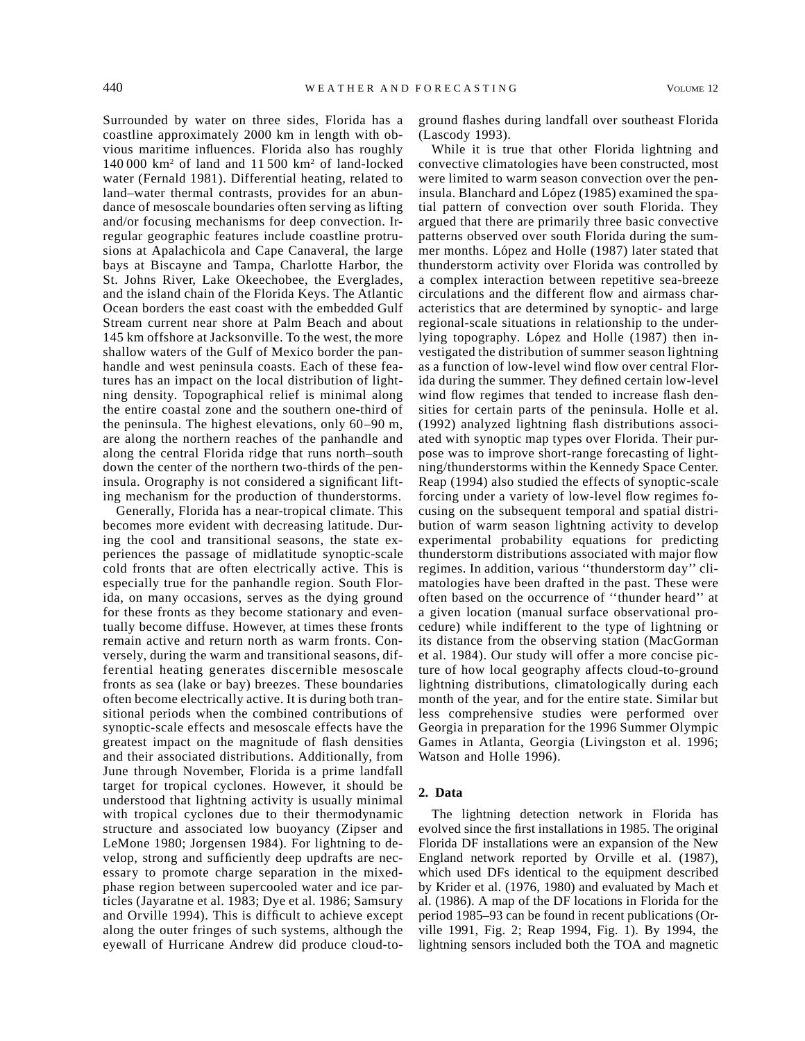Surrounded by water on three sides, Florida has a coastline approximately 2000 km in length with obvious maritime influences. Florida also has roughly 140 000 km2 of land and 11 500 km2 of land-locked water (Fernald 1981). Differential heating, related to land–water thermal contrasts, provides for an abundance of mesoscale boundaries often serving as lifting and/or focusing mechanisms for deep convection. Irregular geographic features include coastline protrusions at Apalachicola and Cape Canaveral, the large bays at Biscayne and Tampa, Charlotte Harbor, the St. Johns River, Lake Okeechobee, the Everglades, and the island chain of the Florida Keys. The Atlantic Ocean borders the east coast with the embedded Gulf Stream current near shore at Palm Beach and about 145 km offshore at Jacksonville. To the west, the more shallow waters of the Gulf of Mexico border the panhandle and west peninsula coasts. Each of these features has an impact on the local distribution of lightning density. Topographical relief is minimal along the entire coastal zone and the southern one-third of the peninsula. The highest elevations, only 60–90 m, are along the northern reaches of the panhandle and along the central Florida ridge that runs north–south down the center of the northern two-thirds of the peninsula. Orography is not considered a significant lifting mechanism for the production of thunderstorms.

Generally, Florida has a near-tropical climate. This becomes more evident with decreasing latitude. During the cool and transitional seasons, the state experiences the passage of midlatitude synoptic-scale cold fronts that are often electrically active. This is especially true for the panhandle region. South Florida, on many occasions, serves as the dying ground for these fronts as they become stationary and eventually become diffuse. However, at times these fronts remain active and return north as warm fronts. Conversely, during the warm and transitional seasons, differential heating generates discernible mesoscale fronts as sea (lake or bay) breezes. These boundaries often become electrically active. It is during both transitional periods when the combined contributions of synoptic-scale effects and mesoscale effects have the greatest impact on the magnitude of flash densities and their associated distributions. Additionally, from June through November, Florida is a prime landfall target for tropical cyclones. However, it should be understood that lightning activity is usually minimal with tropical cyclones due to their thermodynamic structure and associated low buoyancy (Zipser and LeMone 1980; Jorgensen 1984). For lightning to develop, strong and sufficiently deep updrafts are necessary to promote charge separation in the mixedphase region between supercooled water and ice particles (Jayaratne et al. 1983; Dye et al. 1986; Samsury and Orville 1994). This is difficult to achieve except along the outer fringes of such systems, although the eyewall of Hurricane Andrew did produce cloud-toground flashes during landfall over southeast Florida (Lascody 1993).

While it is true that other Florida lightning and convective climatologies have been constructed, most were limited to warm season convection over the peninsula. Blanchard and López (1985) examined the spatial pattern of convection over south Florida. They argued that there are primarily three basic convective patterns observed over south Florida during the summer months. López and Holle (1987) later stated that thunderstorm activity over Florida was controlled by a complex interaction between repetitive sea-breeze circulations and the different flow and airmass characteristics that are determined by synoptic- and large regional-scale situations in relationship to the underlying topography. López and Holle (1987) then investigated the distribution of summer season lightning as a function of low-level wind flow over central Florida during the summer. They defined certain low-level wind flow regimes that tended to increase flash densities for certain parts of the peninsula. Holle et al. (1992) analyzed lightning flash distributions associated with synoptic map types over Florida. Their purpose was to improve short-range forecasting of lightning/thunderstorms within the Kennedy Space Center. Reap (1994) also studied the effects of synoptic-scale forcing under a variety of low-level flow regimes focusing on the subsequent temporal and spatial distribution of warm season lightning activity to develop experimental probability equations for predicting thunderstorm distributions associated with major flow regimes. In addition, various ''thunderstorm day'' climatologies have been drafted in the past. These were often based on the occurrence of ''thunder heard'' at a given location (manual surface observational procedure) while indifferent to the type of lightning or its distance from the observing station (MacGorman et al. 1984). Our study will offer a more concise picture of how local geography affects cloud-to-ground lightning distributions, climatologically during each month of the year, and for the entire state. Similar but less comprehensive studies were performed over Georgia in preparation for the 1996 Summer Olympic Games in Atlanta, Georgia (Livingston et al. 1996; Watson and Holle 1996).

## **2. Data**

The lightning detection network in Florida has evolved since the first installations in 1985. The original Florida DF installations were an expansion of the New England network reported by Orville et al. (1987), which used DFs identical to the equipment described by Krider et al. (1976, 1980) and evaluated by Mach et al. (1986). A map of the DF locations in Florida for the period 1985–93 can be found in recent publications (Orville 1991, Fig. 2; Reap 1994, Fig. 1). By 1994, the lightning sensors included both the TOA and magnetic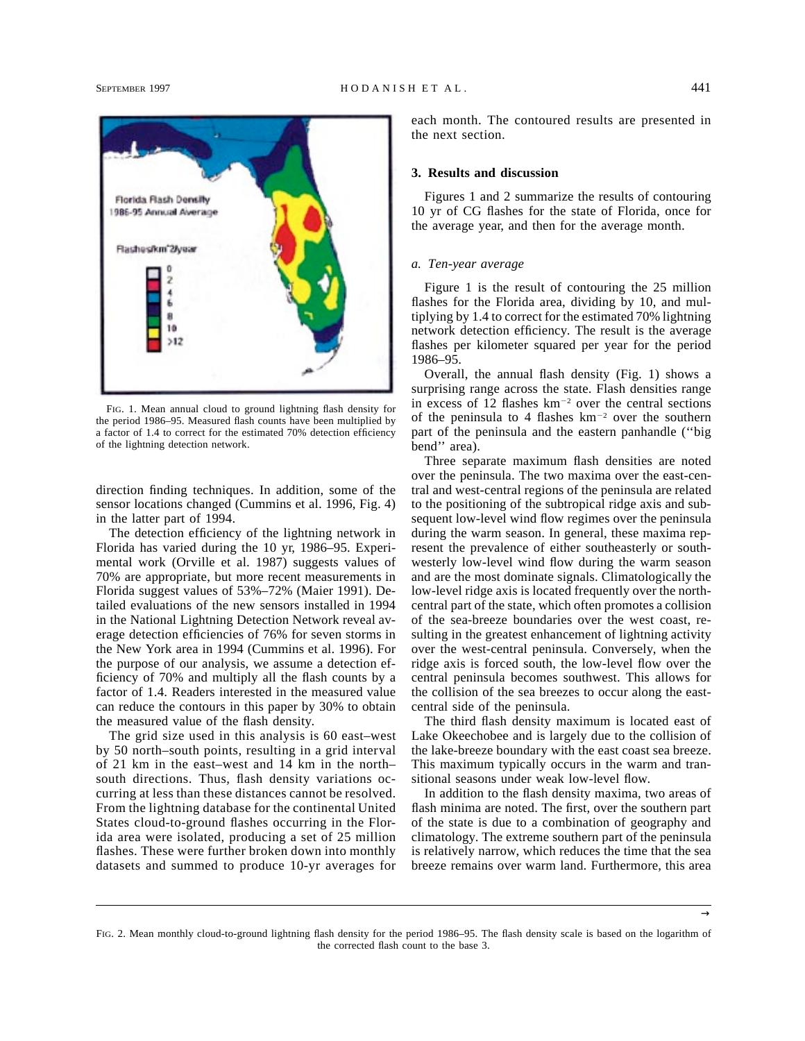

FIG. 1. Mean annual cloud to ground lightning flash density for the period 1986–95. Measured flash counts have been multiplied by a factor of 1.4 to correct for the estimated 70% detection efficiency of the lightning detection network.

direction finding techniques. In addition, some of the sensor locations changed (Cummins et al. 1996, Fig. 4) in the latter part of 1994.

The detection efficiency of the lightning network in Florida has varied during the 10 yr, 1986–95. Experimental work (Orville et al. 1987) suggests values of 70% are appropriate, but more recent measurements in Florida suggest values of 53%–72% (Maier 1991). Detailed evaluations of the new sensors installed in 1994 in the National Lightning Detection Network reveal average detection efficiencies of 76% for seven storms in the New York area in 1994 (Cummins et al. 1996). For the purpose of our analysis, we assume a detection efficiency of 70% and multiply all the flash counts by a factor of 1.4. Readers interested in the measured value can reduce the contours in this paper by 30% to obtain the measured value of the flash density.

The grid size used in this analysis is 60 east–west by 50 north–south points, resulting in a grid interval of 21 km in the east–west and 14 km in the north– south directions. Thus, flash density variations occurring at less than these distances cannot be resolved. From the lightning database for the continental United States cloud-to-ground flashes occurring in the Florida area were isolated, producing a set of 25 million flashes. These were further broken down into monthly datasets and summed to produce 10-yr averages for each month. The contoured results are presented in the next section.

### **3. Results and discussion**

Figures 1 and 2 summarize the results of contouring 10 yr of CG flashes for the state of Florida, once for the average year, and then for the average month.

### *a. Ten-year average*

Figure 1 is the result of contouring the 25 million flashes for the Florida area, dividing by 10, and multiplying by 1.4 to correct for the estimated 70% lightning network detection efficiency. The result is the average flashes per kilometer squared per year for the period 1986–95.

Overall, the annual flash density (Fig. 1) shows a surprising range across the state. Flash densities range in excess of 12 flashes  $km^{-2}$  over the central sections of the peninsula to 4 flashes  $km^{-2}$  over the southern part of the peninsula and the eastern panhandle (''big bend'' area).

Three separate maximum flash densities are noted over the peninsula. The two maxima over the east-central and west-central regions of the peninsula are related to the positioning of the subtropical ridge axis and subsequent low-level wind flow regimes over the peninsula during the warm season. In general, these maxima represent the prevalence of either southeasterly or southwesterly low-level wind flow during the warm season and are the most dominate signals. Climatologically the low-level ridge axis is located frequently over the northcentral part of the state, which often promotes a collision of the sea-breeze boundaries over the west coast, resulting in the greatest enhancement of lightning activity over the west-central peninsula. Conversely, when the ridge axis is forced south, the low-level flow over the central peninsula becomes southwest. This allows for the collision of the sea breezes to occur along the eastcentral side of the peninsula.

The third flash density maximum is located east of Lake Okeechobee and is largely due to the collision of the lake-breeze boundary with the east coast sea breeze. This maximum typically occurs in the warm and transitional seasons under weak low-level flow.

In addition to the flash density maxima, two areas of flash minima are noted. The first, over the southern part of the state is due to a combination of geography and climatology. The extreme southern part of the peninsula is relatively narrow, which reduces the time that the sea breeze remains over warm land. Furthermore, this area

FIG. 2. Mean monthly cloud-to-ground lightning flash density for the period 1986–95. The flash density scale is based on the logarithm of the corrected flash count to the base 3.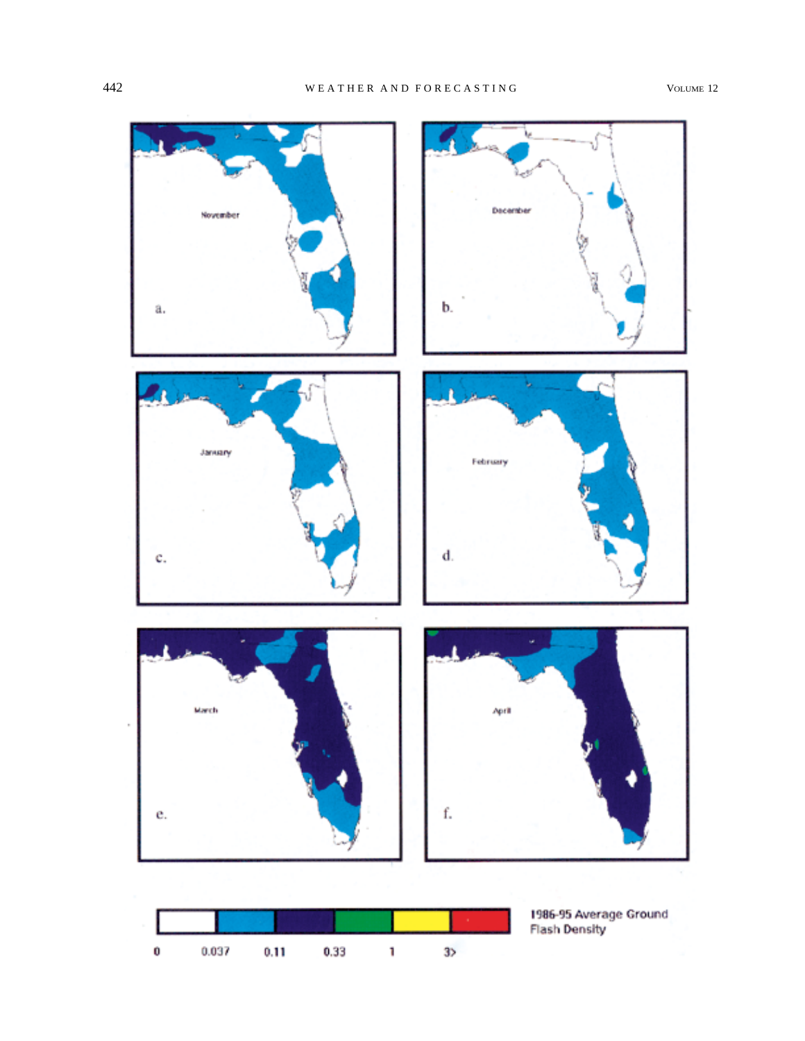



1986-95 Average Ground<br>Flash Density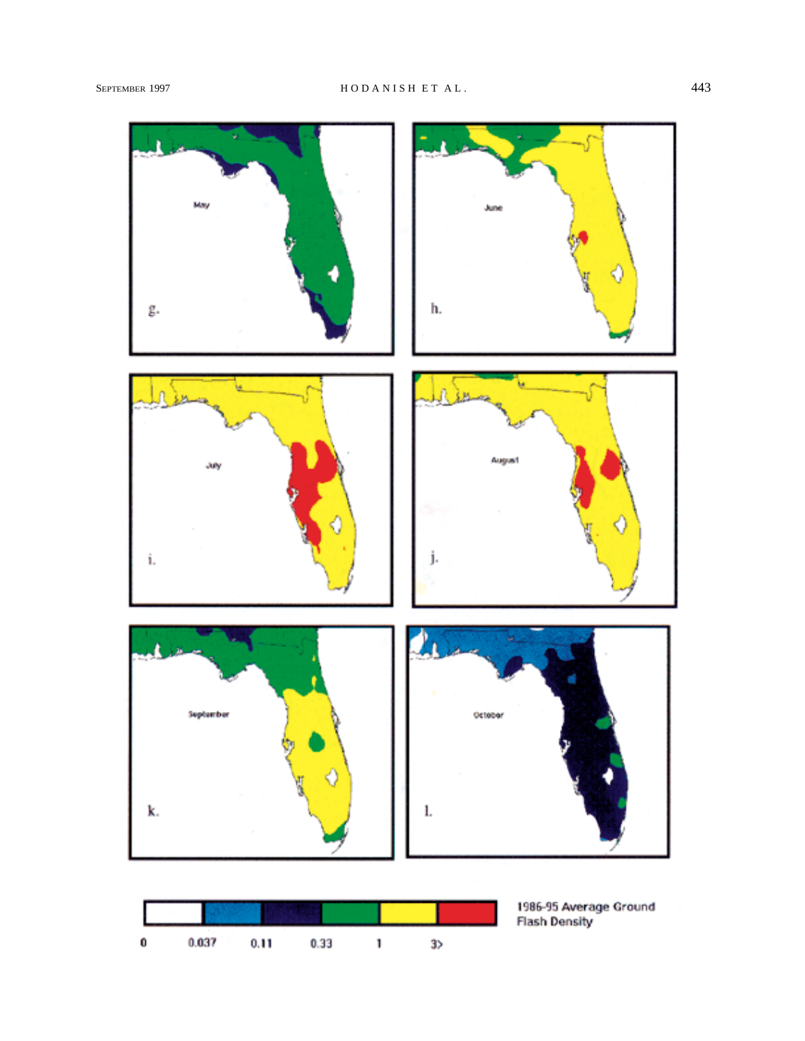



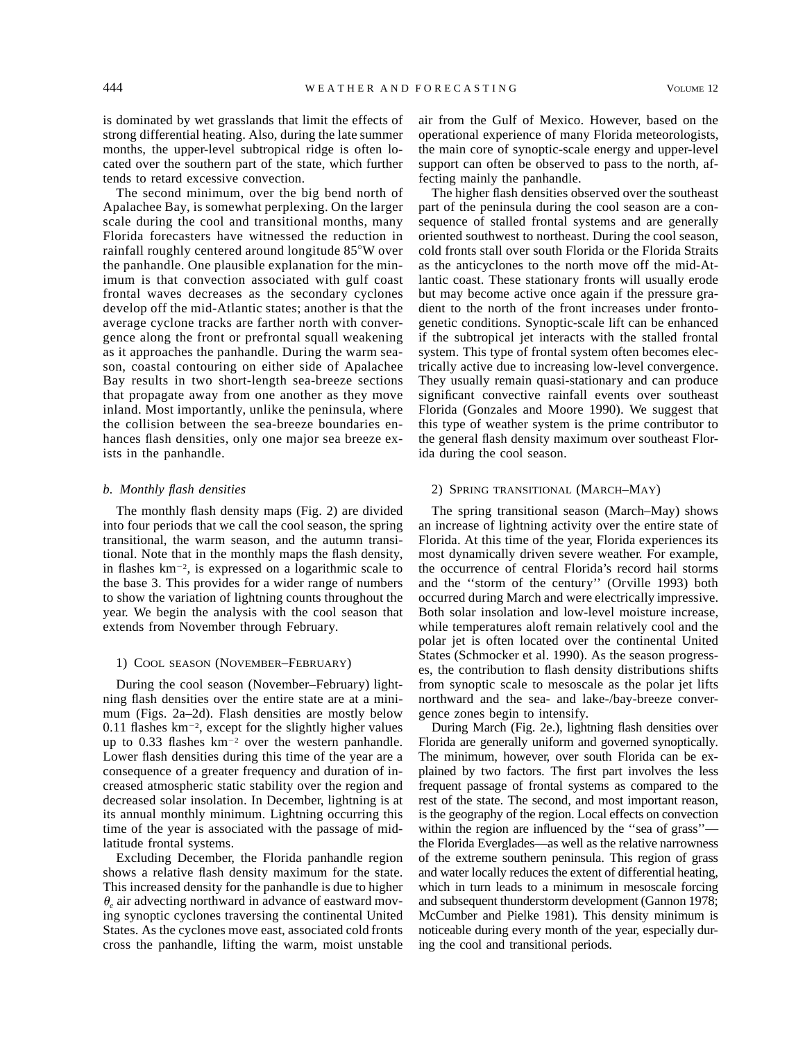is dominated by wet grasslands that limit the effects of strong differential heating. Also, during the late summer months, the upper-level subtropical ridge is often located over the southern part of the state, which further tends to retard excessive convection.

The second minimum, over the big bend north of Apalachee Bay, is somewhat perplexing. On the larger scale during the cool and transitional months, many Florida forecasters have witnessed the reduction in rainfall roughly centered around longitude 85°W over the panhandle. One plausible explanation for the minimum is that convection associated with gulf coast frontal waves decreases as the secondary cyclones develop off the mid-Atlantic states; another is that the average cyclone tracks are farther north with convergence along the front or prefrontal squall weakening as it approaches the panhandle. During the warm season, coastal contouring on either side of Apalachee Bay results in two short-length sea-breeze sections that propagate away from one another as they move inland. Most importantly, unlike the peninsula, where the collision between the sea-breeze boundaries enhances flash densities, only one major sea breeze exists in the panhandle.

### *b. Monthly flash densities*

The monthly flash density maps (Fig. 2) are divided into four periods that we call the cool season, the spring transitional, the warm season, and the autumn transitional. Note that in the monthly maps the flash density, in flashes  $km^{-2}$ , is expressed on a logarithmic scale to the base 3. This provides for a wider range of numbers to show the variation of lightning counts throughout the year. We begin the analysis with the cool season that extends from November through February.

### 1) COOL SEASON (NOVEMBER–FEBRUARY)

During the cool season (November–February) lightning flash densities over the entire state are at a minimum (Figs. 2a–2d). Flash densities are mostly below  $0.11$  flashes  $km^{-2}$ , except for the slightly higher values up to 0.33 flashes  $km^{-2}$  over the western panhandle. Lower flash densities during this time of the year are a consequence of a greater frequency and duration of increased atmospheric static stability over the region and decreased solar insolation. In December, lightning is at its annual monthly minimum. Lightning occurring this time of the year is associated with the passage of midlatitude frontal systems.

Excluding December, the Florida panhandle region shows a relative flash density maximum for the state. This increased density for the panhandle is due to higher  $\theta_{\rm g}$  air advecting northward in advance of eastward moving synoptic cyclones traversing the continental United States. As the cyclones move east, associated cold fronts cross the panhandle, lifting the warm, moist unstable air from the Gulf of Mexico. However, based on the operational experience of many Florida meteorologists, the main core of synoptic-scale energy and upper-level support can often be observed to pass to the north, affecting mainly the panhandle.

The higher flash densities observed over the southeast part of the peninsula during the cool season are a consequence of stalled frontal systems and are generally oriented southwest to northeast. During the cool season, cold fronts stall over south Florida or the Florida Straits as the anticyclones to the north move off the mid-Atlantic coast. These stationary fronts will usually erode but may become active once again if the pressure gradient to the north of the front increases under frontogenetic conditions. Synoptic-scale lift can be enhanced if the subtropical jet interacts with the stalled frontal system. This type of frontal system often becomes electrically active due to increasing low-level convergence. They usually remain quasi-stationary and can produce significant convective rainfall events over southeast Florida (Gonzales and Moore 1990). We suggest that this type of weather system is the prime contributor to the general flash density maximum over southeast Florida during the cool season.

### 2) SPRING TRANSITIONAL (MARCH–MAY)

The spring transitional season (March–May) shows an increase of lightning activity over the entire state of Florida. At this time of the year, Florida experiences its most dynamically driven severe weather. For example, the occurrence of central Florida's record hail storms and the ''storm of the century'' (Orville 1993) both occurred during March and were electrically impressive. Both solar insolation and low-level moisture increase, while temperatures aloft remain relatively cool and the polar jet is often located over the continental United States (Schmocker et al. 1990). As the season progresses, the contribution to flash density distributions shifts from synoptic scale to mesoscale as the polar jet lifts northward and the sea- and lake-/bay-breeze convergence zones begin to intensify.

During March (Fig. 2e.), lightning flash densities over Florida are generally uniform and governed synoptically. The minimum, however, over south Florida can be explained by two factors. The first part involves the less frequent passage of frontal systems as compared to the rest of the state. The second, and most important reason, is the geography of the region. Local effects on convection within the region are influenced by the "sea of grass" the Florida Everglades—as well as the relative narrowness of the extreme southern peninsula. This region of grass and water locally reduces the extent of differential heating, which in turn leads to a minimum in mesoscale forcing and subsequent thunderstorm development (Gannon 1978; McCumber and Pielke 1981). This density minimum is noticeable during every month of the year, especially during the cool and transitional periods.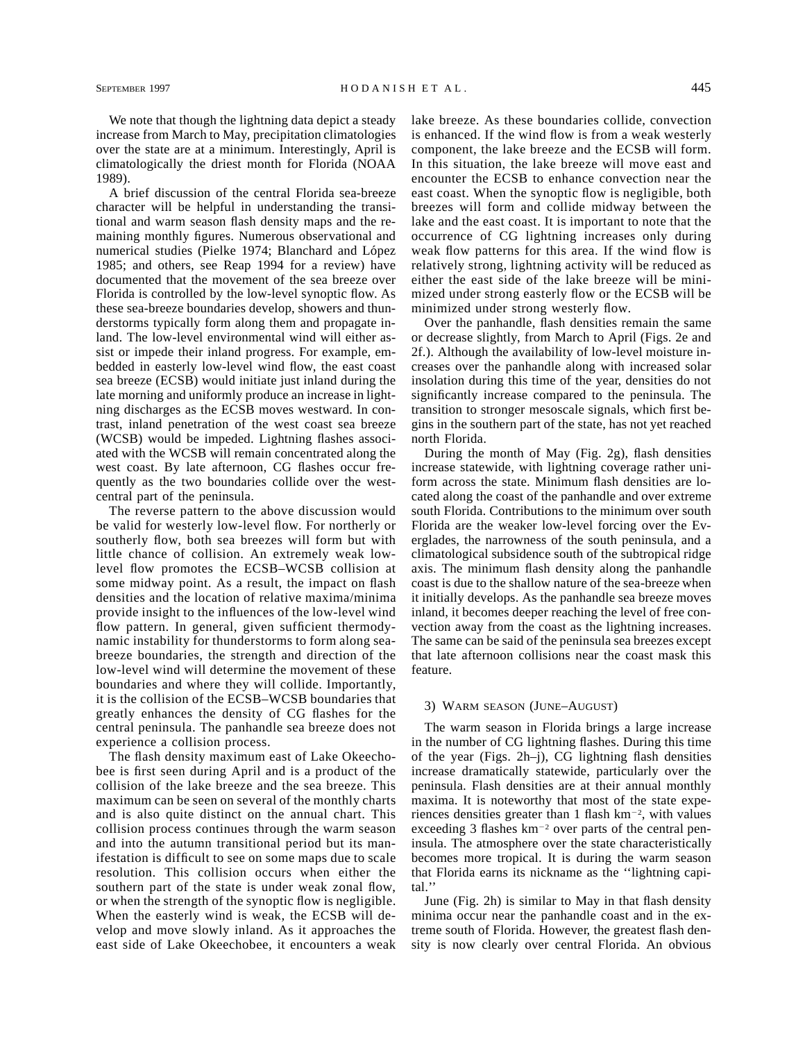We note that though the lightning data depict a steady increase from March to May, precipitation climatologies over the state are at a minimum. Interestingly, April is climatologically the driest month for Florida (NOAA 1989).

A brief discussion of the central Florida sea-breeze character will be helpful in understanding the transitional and warm season flash density maps and the remaining monthly figures. Numerous observational and numerical studies (Pielke 1974; Blanchard and López 1985; and others, see Reap 1994 for a review) have documented that the movement of the sea breeze over Florida is controlled by the low-level synoptic flow. As these sea-breeze boundaries develop, showers and thunderstorms typically form along them and propagate inland. The low-level environmental wind will either assist or impede their inland progress. For example, embedded in easterly low-level wind flow, the east coast sea breeze (ECSB) would initiate just inland during the late morning and uniformly produce an increase in lightning discharges as the ECSB moves westward. In contrast, inland penetration of the west coast sea breeze (WCSB) would be impeded. Lightning flashes associated with the WCSB will remain concentrated along the west coast. By late afternoon, CG flashes occur frequently as the two boundaries collide over the westcentral part of the peninsula.

The reverse pattern to the above discussion would be valid for westerly low-level flow. For northerly or southerly flow, both sea breezes will form but with little chance of collision. An extremely weak lowlevel flow promotes the ECSB–WCSB collision at some midway point. As a result, the impact on flash densities and the location of relative maxima/minima provide insight to the influences of the low-level wind flow pattern. In general, given sufficient thermodynamic instability for thunderstorms to form along seabreeze boundaries, the strength and direction of the low-level wind will determine the movement of these boundaries and where they will collide. Importantly, it is the collision of the ECSB–WCSB boundaries that greatly enhances the density of CG flashes for the central peninsula. The panhandle sea breeze does not experience a collision process.

The flash density maximum east of Lake Okeechobee is first seen during April and is a product of the collision of the lake breeze and the sea breeze. This maximum can be seen on several of the monthly charts and is also quite distinct on the annual chart. This collision process continues through the warm season and into the autumn transitional period but its manifestation is difficult to see on some maps due to scale resolution. This collision occurs when either the southern part of the state is under weak zonal flow, or when the strength of the synoptic flow is negligible. When the easterly wind is weak, the ECSB will develop and move slowly inland. As it approaches the east side of Lake Okeechobee, it encounters a weak lake breeze. As these boundaries collide, convection is enhanced. If the wind flow is from a weak westerly component, the lake breeze and the ECSB will form. In this situation, the lake breeze will move east and encounter the ECSB to enhance convection near the east coast. When the synoptic flow is negligible, both breezes will form and collide midway between the lake and the east coast. It is important to note that the occurrence of CG lightning increases only during weak flow patterns for this area. If the wind flow is relatively strong, lightning activity will be reduced as either the east side of the lake breeze will be minimized under strong easterly flow or the ECSB will be minimized under strong westerly flow.

Over the panhandle, flash densities remain the same or decrease slightly, from March to April (Figs. 2e and 2f.). Although the availability of low-level moisture increases over the panhandle along with increased solar insolation during this time of the year, densities do not significantly increase compared to the peninsula. The transition to stronger mesoscale signals, which first begins in the southern part of the state, has not yet reached north Florida.

During the month of May (Fig. 2g), flash densities increase statewide, with lightning coverage rather uniform across the state. Minimum flash densities are located along the coast of the panhandle and over extreme south Florida. Contributions to the minimum over south Florida are the weaker low-level forcing over the Everglades, the narrowness of the south peninsula, and a climatological subsidence south of the subtropical ridge axis. The minimum flash density along the panhandle coast is due to the shallow nature of the sea-breeze when it initially develops. As the panhandle sea breeze moves inland, it becomes deeper reaching the level of free convection away from the coast as the lightning increases. The same can be said of the peninsula sea breezes except that late afternoon collisions near the coast mask this feature.

### 3) WARM SEASON (JUNE–AUGUST)

The warm season in Florida brings a large increase in the number of CG lightning flashes. During this time of the year (Figs. 2h–j), CG lightning flash densities increase dramatically statewide, particularly over the peninsula. Flash densities are at their annual monthly maxima. It is noteworthy that most of the state experiences densities greater than 1 flash  $km^{-2}$ , with values exceeding 3 flashes  $km^{-2}$  over parts of the central peninsula. The atmosphere over the state characteristically becomes more tropical. It is during the warm season that Florida earns its nickname as the ''lightning capital.''

June (Fig. 2h) is similar to May in that flash density minima occur near the panhandle coast and in the extreme south of Florida. However, the greatest flash density is now clearly over central Florida. An obvious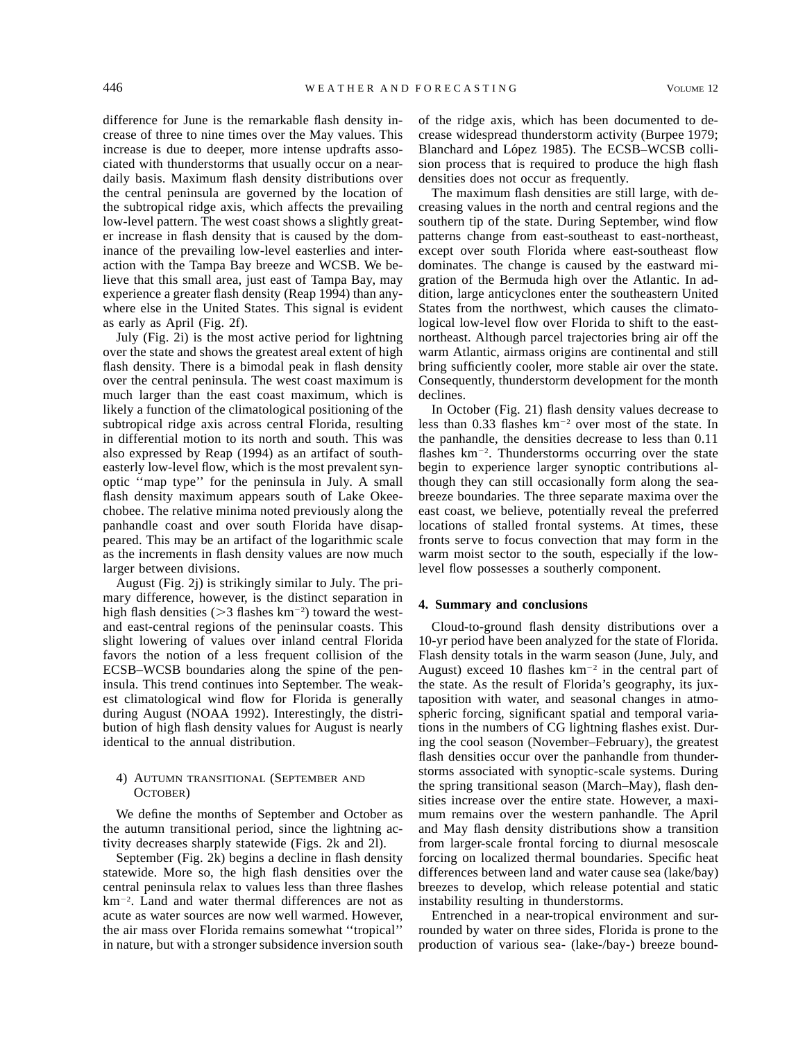difference for June is the remarkable flash density increase of three to nine times over the May values. This increase is due to deeper, more intense updrafts associated with thunderstorms that usually occur on a neardaily basis. Maximum flash density distributions over the central peninsula are governed by the location of the subtropical ridge axis, which affects the prevailing low-level pattern. The west coast shows a slightly greater increase in flash density that is caused by the dominance of the prevailing low-level easterlies and interaction with the Tampa Bay breeze and WCSB. We believe that this small area, just east of Tampa Bay, may experience a greater flash density (Reap 1994) than anywhere else in the United States. This signal is evident as early as April (Fig. 2f).

July (Fig. 2i) is the most active period for lightning over the state and shows the greatest areal extent of high flash density. There is a bimodal peak in flash density over the central peninsula. The west coast maximum is much larger than the east coast maximum, which is likely a function of the climatological positioning of the subtropical ridge axis across central Florida, resulting in differential motion to its north and south. This was also expressed by Reap (1994) as an artifact of southeasterly low-level flow, which is the most prevalent synoptic ''map type'' for the peninsula in July. A small flash density maximum appears south of Lake Okeechobee. The relative minima noted previously along the panhandle coast and over south Florida have disappeared. This may be an artifact of the logarithmic scale as the increments in flash density values are now much larger between divisions.

August (Fig. 2j) is strikingly similar to July. The primary difference, however, is the distinct separation in high flash densities ( $>$ 3 flashes km<sup>-2</sup>) toward the westand east-central regions of the peninsular coasts. This slight lowering of values over inland central Florida favors the notion of a less frequent collision of the ECSB–WCSB boundaries along the spine of the peninsula. This trend continues into September. The weakest climatological wind flow for Florida is generally during August (NOAA 1992). Interestingly, the distribution of high flash density values for August is nearly identical to the annual distribution.

## 4) AUTUMN TRANSITIONAL (SEPTEMBER AND OCTOBER)

We define the months of September and October as the autumn transitional period, since the lightning activity decreases sharply statewide (Figs. 2k and 2l).

September (Fig. 2k) begins a decline in flash density statewide. More so, the high flash densities over the central peninsula relax to values less than three flashes km<sup>-2</sup>. Land and water thermal differences are not as acute as water sources are now well warmed. However, the air mass over Florida remains somewhat ''tropical'' in nature, but with a stronger subsidence inversion south of the ridge axis, which has been documented to decrease widespread thunderstorm activity (Burpee 1979; Blanchard and López 1985). The ECSB–WCSB collision process that is required to produce the high flash densities does not occur as frequently.

The maximum flash densities are still large, with decreasing values in the north and central regions and the southern tip of the state. During September, wind flow patterns change from east-southeast to east-northeast, except over south Florida where east-southeast flow dominates. The change is caused by the eastward migration of the Bermuda high over the Atlantic. In addition, large anticyclones enter the southeastern United States from the northwest, which causes the climatological low-level flow over Florida to shift to the eastnortheast. Although parcel trajectories bring air off the warm Atlantic, airmass origins are continental and still bring sufficiently cooler, more stable air over the state. Consequently, thunderstorm development for the month declines.

In October (Fig. 21) flash density values decrease to less than 0.33 flashes  $km^{-2}$  over most of the state. In the panhandle, the densities decrease to less than 0.11 flashes  $km^{-2}$ . Thunderstorms occurring over the state begin to experience larger synoptic contributions although they can still occasionally form along the seabreeze boundaries. The three separate maxima over the east coast, we believe, potentially reveal the preferred locations of stalled frontal systems. At times, these fronts serve to focus convection that may form in the warm moist sector to the south, especially if the lowlevel flow possesses a southerly component.

### **4. Summary and conclusions**

Cloud-to-ground flash density distributions over a 10-yr period have been analyzed for the state of Florida. Flash density totals in the warm season (June, July, and August) exceed 10 flashes  $km^{-2}$  in the central part of the state. As the result of Florida's geography, its juxtaposition with water, and seasonal changes in atmospheric forcing, significant spatial and temporal variations in the numbers of CG lightning flashes exist. During the cool season (November–February), the greatest flash densities occur over the panhandle from thunderstorms associated with synoptic-scale systems. During the spring transitional season (March–May), flash densities increase over the entire state. However, a maximum remains over the western panhandle. The April and May flash density distributions show a transition from larger-scale frontal forcing to diurnal mesoscale forcing on localized thermal boundaries. Specific heat differences between land and water cause sea (lake/bay) breezes to develop, which release potential and static instability resulting in thunderstorms.

Entrenched in a near-tropical environment and surrounded by water on three sides, Florida is prone to the production of various sea- (lake-/bay-) breeze bound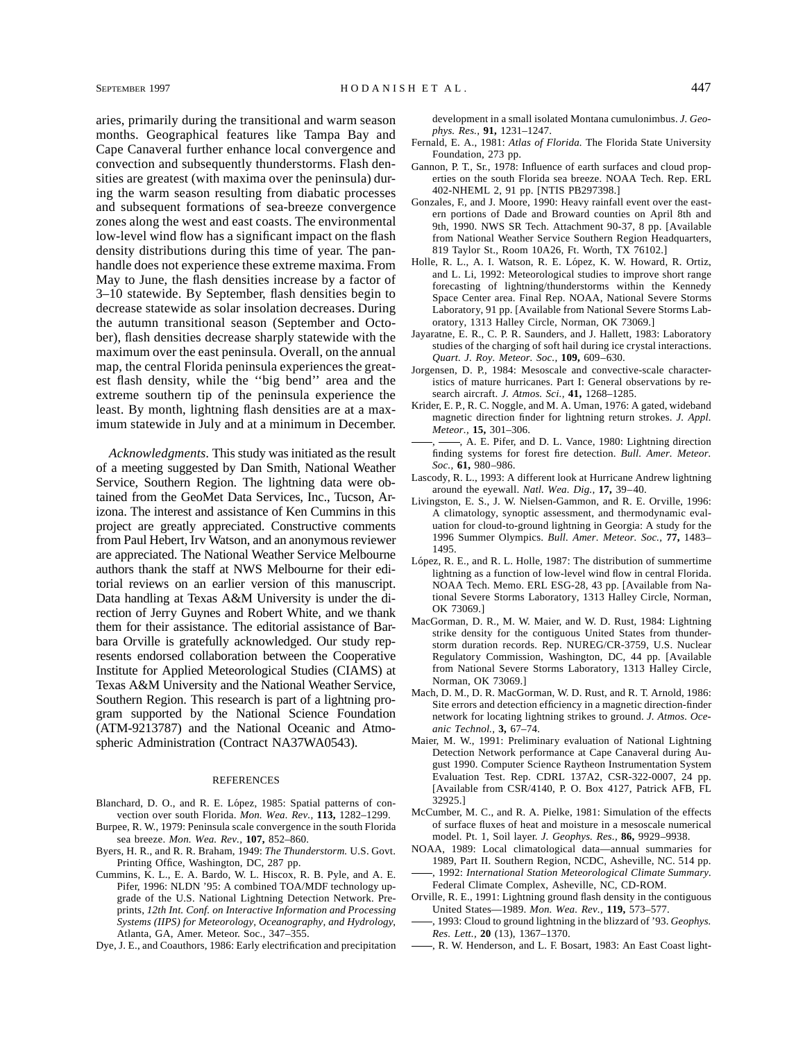aries, primarily during the transitional and warm season months. Geographical features like Tampa Bay and Cape Canaveral further enhance local convergence and convection and subsequently thunderstorms. Flash densities are greatest (with maxima over the peninsula) during the warm season resulting from diabatic processes and subsequent formations of sea-breeze convergence zones along the west and east coasts. The environmental low-level wind flow has a significant impact on the flash density distributions during this time of year. The panhandle does not experience these extreme maxima. From May to June, the flash densities increase by a factor of 3–10 statewide. By September, flash densities begin to decrease statewide as solar insolation decreases. During the autumn transitional season (September and October), flash densities decrease sharply statewide with the maximum over the east peninsula. Overall, on the annual map, the central Florida peninsula experiences the greatest flash density, while the ''big bend'' area and the extreme southern tip of the peninsula experience the least. By month, lightning flash densities are at a maximum statewide in July and at a minimum in December.

*Acknowledgments.* This study was initiated as the result of a meeting suggested by Dan Smith, National Weather Service, Southern Region. The lightning data were obtained from the GeoMet Data Services, Inc., Tucson, Arizona. The interest and assistance of Ken Cummins in this project are greatly appreciated. Constructive comments from Paul Hebert, Irv Watson, and an anonymous reviewer are appreciated. The National Weather Service Melbourne authors thank the staff at NWS Melbourne for their editorial reviews on an earlier version of this manuscript. Data handling at Texas A&M University is under the direction of Jerry Guynes and Robert White, and we thank them for their assistance. The editorial assistance of Barbara Orville is gratefully acknowledged. Our study represents endorsed collaboration between the Cooperative Institute for Applied Meteorological Studies (CIAMS) at Texas A&M University and the National Weather Service, Southern Region. This research is part of a lightning program supported by the National Science Foundation (ATM-9213787) and the National Oceanic and Atmospheric Administration (Contract NA37WA0543).

### REFERENCES

- Blanchard, D. O., and R. E. López, 1985: Spatial patterns of convection over south Florida. *Mon. Wea. Rev.,* **113,** 1282–1299.
- Burpee, R. W., 1979: Peninsula scale convergence in the south Florida sea breeze. *Mon. Wea. Rev.,* **107,** 852–860.
- Byers, H. R., and R. R. Braham, 1949: *The Thunderstorm.* U.S. Govt. Printing Office, Washington, DC, 287 pp.
- Cummins, K. L., E. A. Bardo, W. L. Hiscox, R. B. Pyle, and A. E. Pifer, 1996: NLDN '95: A combined TOA/MDF technology upgrade of the U.S. National Lightning Detection Network. Preprints, *12th Int. Conf. on Interactive Information and Processing Systems (IIPS) for Meteorology, Oceanography, and Hydrology*, Atlanta, GA, Amer. Meteor. Soc., 347–355.
- Dye, J. E., and Coauthors, 1986: Early electrification and precipitation

development in a small isolated Montana cumulonimbus. *J. Geophys. Res.,* **91,** 1231–1247.

- Fernald, E. A., 1981: *Atlas of Florida.* The Florida State University Foundation, 273 pp.
- Gannon, P. T., Sr., 1978: Influence of earth surfaces and cloud properties on the south Florida sea breeze. NOAA Tech. Rep. ERL 402-NHEML 2, 91 pp. [NTIS PB297398.]
- Gonzales, F., and J. Moore, 1990: Heavy rainfall event over the eastern portions of Dade and Broward counties on April 8th and 9th, 1990. NWS SR Tech. Attachment 90-37, 8 pp. [Available from National Weather Service Southern Region Headquarters, 819 Taylor St., Room 10A26, Ft. Worth, TX 76102.]
- Holle, R. L., A. I. Watson, R. E. López, K. W. Howard, R. Ortiz, and L. Li, 1992: Meteorological studies to improve short range forecasting of lightning/thunderstorms within the Kennedy Space Center area. Final Rep. NOAA, National Severe Storms Laboratory, 91 pp. [Available from National Severe Storms Laboratory, 1313 Halley Circle, Norman, OK 73069.]
- Jayaratne, E. R., C. P. R. Saunders, and J. Hallett, 1983: Laboratory studies of the charging of soft hail during ice crystal interactions. *Quart. J. Roy. Meteor. Soc.,* **109,** 609–630.
- Jorgensen, D. P., 1984: Mesoscale and convective-scale characteristics of mature hurricanes. Part I: General observations by research aircraft. *J. Atmos. Sci.,* **41,** 1268–1285.
- Krider, E. P., R. C. Noggle, and M. A. Uman, 1976: A gated, wideband magnetic direction finder for lightning return strokes. *J. Appl. Meteor.,* **15,** 301–306.
- -, A. E. Pifer, and D. L. Vance, 1980: Lightning direction finding systems for forest fire detection. *Bull. Amer. Meteor. Soc.,* **61,** 980–986.
- Lascody, R. L., 1993: A different look at Hurricane Andrew lightning around the eyewall. *Natl. Wea. Dig.,* **17,** 39–40.
- Livingston, E. S., J. W. Nielsen-Gammon, and R. E. Orville, 1996: A climatology, synoptic assessment, and thermodynamic evaluation for cloud-to-ground lightning in Georgia: A study for the 1996 Summer Olympics. *Bull. Amer. Meteor. Soc.,* **77,** 1483– 1495.
- López, R. E., and R. L. Holle, 1987: The distribution of summertime lightning as a function of low-level wind flow in central Florida. NOAA Tech. Memo. ERL ESG-28, 43 pp. [Available from National Severe Storms Laboratory, 1313 Halley Circle, Norman, OK 73069.]
- MacGorman, D. R., M. W. Maier, and W. D. Rust, 1984: Lightning strike density for the contiguous United States from thunderstorm duration records. Rep. NUREG/CR-3759, U.S. Nuclear Regulatory Commission, Washington, DC, 44 pp. [Available from National Severe Storms Laboratory, 1313 Halley Circle, Norman, OK 73069.]
- Mach, D. M., D. R. MacGorman, W. D. Rust, and R. T. Arnold, 1986: Site errors and detection efficiency in a magnetic direction-finder network for locating lightning strikes to ground. *J. Atmos. Oceanic Technol.,* **3,** 67–74.
- Maier, M. W., 1991: Preliminary evaluation of National Lightning Detection Network performance at Cape Canaveral during August 1990. Computer Science Raytheon Instrumentation System Evaluation Test. Rep. CDRL 137A2, CSR-322-0007, 24 pp. [Available from CSR/4140, P. O. Box 4127, Patrick AFB, FL 32925.]
- McCumber, M. C., and R. A. Pielke, 1981: Simulation of the effects of surface fluxes of heat and moisture in a mesoscale numerical model. Pt. 1, Soil layer. *J. Geophys. Res.,* **86,** 9929–9938.
- NOAA, 1989: Local climatological data—annual summaries for 1989, Part II. Southern Region, NCDC, Asheville, NC. 514 pp. , 1992: *International Station Meteorological Climate Summary.* Federal Climate Complex, Asheville, NC, CD-ROM.
- Orville, R. E., 1991: Lightning ground flash density in the contiguous United States—1989. *Mon. Wea. Rev.,* **119,** 573–577.
- , 1993: Cloud to ground lightning in the blizzard of '93. *Geophys. Res. Lett.,* **20** (13), 1367–1370.
- , R. W. Henderson, and L. F. Bosart, 1983: An East Coast light-